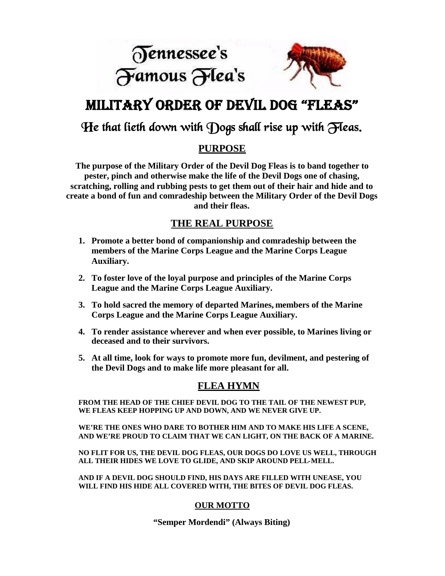



# MILITARY ORDER OF DEVIL DOG "FLEAS"

## He that lieth down with Dogs shall rise up with Fleas.

### **PURPOSE**

**The purpose of the Military Order of the Devil Dog Fleas is to band together to pester, pinch and otherwise make the life of the Devil Dogs one of chasing, scratching, rolling and rubbing pests to get them out of their hair and hide and to create a bond of fun and comradeship between the Military Order of the Devil Dogs and their fleas.**

#### **THE REAL PURPOSE**

- **1. Promote a better bond of companionship and comradeship between the members of the Marine Corps League and the Marine Corps League Auxiliary.**
- **2. To foster love of the loyal purpose and principles of the Marine Corps League and the Marine Corps League Auxiliary.**
- **3. To hold sacred the memory of departed Marines, members of the Marine Corps League and the Marine Corps League Auxiliary.**
- **4. To render assistance wherever and when ever possible, to Marines living or deceased and to their survivors.**
- **5. At all time, look for ways to promote more fun, devilment, and pestering of the Devil Dogs and to make life more pleasant for all.**

#### **FLEA HYMN**

**FROM THE HEAD OF THE CHIEF DEVIL DOG TO THE TAIL OF THE NEWEST PUP, WE FLEAS KEEP HOPPING UP AND DOWN, AND WE NEVER GIVE UP.**

**WE'RE THE ONES WHO DARE TO BOTHER HIM AND TO MAKE HIS LIFE A SCENE, AND WE'RE PROUD TO CLAIM THAT WE CAN LIGHT, ON THE BACK OF A MARINE.**

**NO FLIT FOR US, THE DEVIL DOG FLEAS, OUR DOGS DO LOVE US WELL, THROUGH ALL THEIR HIDES WE LOVE TO GLIDE, AND SKIP AROUND PELL-MELL.**

**AND IF A DEVIL DOG SHOULD FIND, HIS DAYS ARE FILLED WITH UNEASE, YOU WILL FIND HIS HIDE ALL COVERED WITH, THE BITES OF DEVIL DOG FLEAS.**

#### **OUR MOTTO**

**"Semper Mordendi" (Always Biting)**